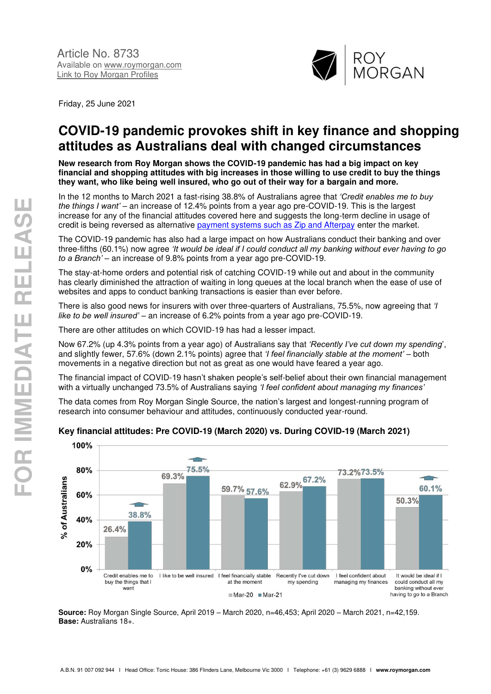

Friday, 25 June 2021

# **COVID-19 pandemic provokes shift in key finance and shopping attitudes as Australians deal with changed circumstances**

**New research from Roy Morgan shows the COVID-19 pandemic has had a big impact on key financial and shopping attitudes with big increases in those willing to use credit to buy the things they want, who like being well insured, who go out of their way for a bargain and more.** 

In the 12 months to March 2021 a fast-rising 38.8% of Australians agree that *'Credit enables me to buy the things I want'* – an increase of 12.4% points from a year ago pre-COVID-19. This is the largest increase for any of the financial attitudes covered here and suggests the long-term decline in usage of credit is being reversed as alternative [payment systems such as Zip and Afterpay](http://www.roymorgan.com/findings/8673-digital-payment-solutions-march-2021-202103290807) enter the market.

The COVID-19 pandemic has also had a large impact on how Australians conduct their banking and over three-fifths (60.1%) now agree *'It would be ideal if I could conduct all my banking without ever having to go to a Branch' –* an increase of 9.8% points from a year ago pre-COVID-19.

The stay-at-home orders and potential risk of catching COVID-19 while out and about in the community has clearly diminished the attraction of waiting in long queues at the local branch when the ease of use of websites and apps to conduct banking transactions is easier than ever before.

There is also good news for insurers with over three-quarters of Australians, 75.5%, now agreeing that *'I like to be well insured'* – an increase of 6.2% points from a year ago pre-COVID-19.

There are other attitudes on which COVID-19 has had a lesser impact.

Now 67.2% (up 4.3% points from a year ago) of Australians say that *'Recently I've cut down my spending*', and slightly fewer, 57.6% (down 2.1% points) agree that *'I feel financially stable at the moment' –* both movements in a negative direction but not as great as one would have feared a year ago.

The financial impact of COVID-19 hasn't shaken people's self-belief about their own financial management with a virtually unchanged 73.5% of Australians saying *'I feel confident about managing my finances'*

The data comes from Roy Morgan Single Source, the nation's largest and longest-running program of research into consumer behaviour and attitudes, continuously conducted year-round.



# **Key financial attitudes: Pre COVID-19 (March 2020) vs. During COVID-19 (March 2021)**

**Source:** Roy Morgan Single Source, April 2019 – March 2020, n=46,453; April 2020 – March 2021, n=42,159. **Base:** Australians 18+.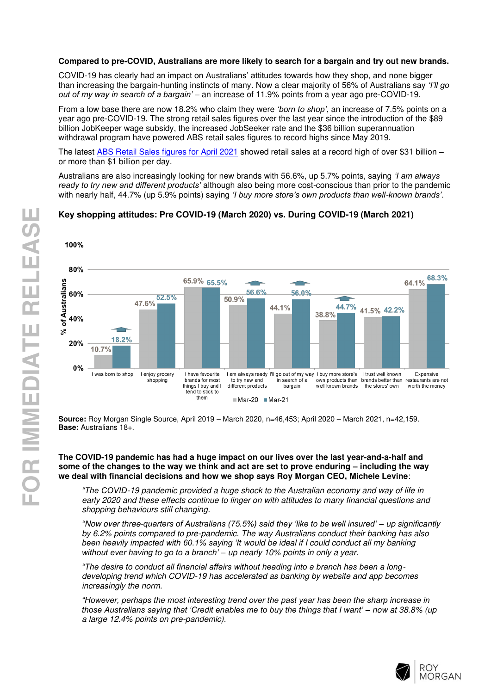# **Compared to pre-COVID, Australians are more likely to search for a bargain and try out new brands.**

COVID-19 has clearly had an impact on Australians' attitudes towards how they shop, and none bigger than increasing the bargain-hunting instincts of many. Now a clear majority of 56% of Australians say *'I'll go out of my way in search of a bargain'* – an increase of 11.9% points from a year ago pre-COVID-19.

From a low base there are now 18.2% who claim they were *'born to shop'*, an increase of 7.5% points on a year ago pre-COVID-19. The strong retail sales figures over the last year since the introduction of the \$89 billion JobKeeper wage subsidy, the increased JobSeeker rate and the \$36 billion superannuation withdrawal program have powered ABS retail sales figures to record highs since May 2019.

The latest [ABS Retail Sales figures for April 2021](https://www.abs.gov.au/statistics/industry/retail-and-wholesale-trade/retail-trade-australia/apr-2021) showed retail sales at a record high of over \$31 billion – or more than \$1 billion per day.

Australians are also increasingly looking for new brands with 56.6%, up 5.7% points, saying *'I am always ready to try new and different products'* although also being more cost-conscious than prior to the pandemic with nearly half, 44.7% (up 5.9% points) saying *'I buy more store's own products than well*-*known brands'*.

#### 100% 80%  $64.1\%$ <sup>68.3%</sup> 65.9% 65.5% of Australians 56.6% 56.0% 60% 52.5% 50.9% 47.6% 44.7% 41.5% 42.2% 44.1% 38.8% 40%  $\approx$  $\overline{\phantom{a}}$ 18.2%  $20%$ 10.7%  $0%$ I was born to shop I enjoy grocery I have favourite I am always ready I'll go out of my way I buy more store's I trust well known Expensive own products than brands better than restaurants are not brands for most in search of a to try new and shopping things I buy and I<br>tend to stick to different products bargain well known brands the stores' own worth the money them Mar-20 Mar-21

# **Key shopping attitudes: Pre COVID-19 (March 2020) vs. During COVID-19 (March 2021)**

**Source:** Roy Morgan Single Source, April 2019 – March 2020, n=46,453; April 2020 – March 2021, n=42,159. **Base:** Australians 18+.

# **The COVID-19 pandemic has had a huge impact on our lives over the last year-and-a-half and some of the changes to the way we think and act are set to prove enduring – including the way we deal with financial decisions and how we shop says Roy Morgan CEO, Michele Levine**:

*"The COVID*-19 pandemic provided a huge shock to the Australian economy and way of life in early 2020 and these effects continue to linger on with attitudes to many financial questions and shopping behaviours still changing.

*"*Now over three-*quarters of Australians (75.5%) said they 'like to be well insured' –* up significantly by 6.2% points compared to pre-pandemic. The way Australians conduct their banking has also *been heavily impacted with 60.1% saying 'It* would be ideal if I could conduct all my banking *without ever having to go to a branch' –* up nearly 10% points in only a year.

*"The desire to conduct all financial affairs without heading into a branch has been a long*developing trend which COVID-19 has accelerated as banking by website and app becomes increasingly the norm.

*"However, perhaps the most interesting trend over the past year has been the sharp increase in those Australians saying that 'Credit enables me to buy the things that I want' –* now at 38.8% (up a large 12.4% points on pre-pandemic).